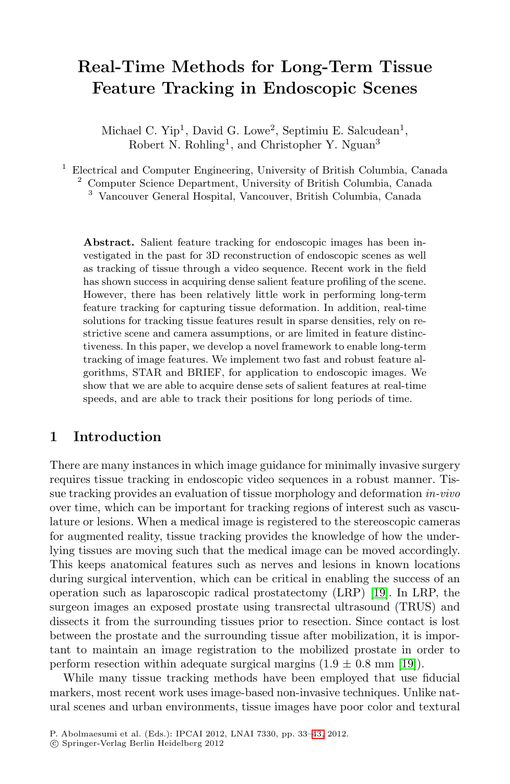# **Real-Time Methods for Long-Term Tissue Feature Tracking in Endoscopic Scenes**

Michael C. Yip<sup>1</sup>, David G. Lowe<sup>2</sup>, Septimiu E. Salcudean<sup>1</sup>, Robert N. Rohling<sup>1</sup>, and Christopher Y. Nguan<sup>3</sup>

<sup>1</sup> Electrical and Computer Engineering, University of British Columbia, Canada

<sup>2</sup> Computer Science Department, University of British Columbia, Canada

<sup>3</sup> Vancouver General Hospital, Vancouver, British Columbia, Canada

**Abstract.** Salient feature tracking for endoscopic images has been investigated in the past for 3D reconstruction of endoscopic scenes as well as tracking of tissue through a video sequence. Recent work in the field has shown success in acquiring dense salient feature profiling of the scene. However, there has been relatively little work in performing long-term feature tracking for capturing tissue deformation. In addition, real-time solutions for tracking tissue features result in sparse densities, rely on restrictive scene and camera assumptions, or are limited in feature distinctiveness. In this paper, we develop a novel framework to enable long-term tracking of image features. We implement two fast and robust feature algorithms, STAR and BRIEF, for application to endoscopic images. We show that we are able to acquire dense sets of salient features at real-time speeds, and are able to track their positions for long periods of time.

# **1 Introduction**

There are many instances in which image guidance for minimally invasive surgery requires tissue tracking in endoscopic video [seq](#page-10-0)uences in a robust manner. Tissue tracking provides an evaluation of tissue morphology and deformation *in-vivo* over time, which can be important for tracking regions of interest such as vasculature or lesions. When a medical image is registered to the stereoscopic cameras for augmented reality, tissue tracking provides the knowledge of how the underlying tissues are moving such that the medical i[mage](#page-10-0) can be moved accordingly. This keeps anatomical features such as nerves and lesions in known locations during surgical intervention, which can be critical in enabling the success of an operation such as laparoscopic radical prostatectomy (LRP) [19]. In LRP, the surgeon images an exposed prostate using transrectal ultrasound (TRUS) and dissects it from the surroundin[g ti](#page-10-1)ssues prior to resection. Since contact is lost between the prostate and the surrounding tissue after mobilization, it is important to maintain an image registration to the mobilized prostate in order to perform resection within adequate surgical margins  $(1.9 \pm 0.8 \text{ mm} [19])$ .

While many tissue tracking methods have been employed that use fiducial markers, most recent work uses image-based non-invasive techniques. Unlike natural scenes and urban environments, tissue images have poor color and textural

P. Abolmaesumi et al. (Eds.): IPCAI 2012, LNAI 7330, pp. 33–43, 2012.

<sup>-</sup>c Springer-Verlag Berlin Heidelberg 2012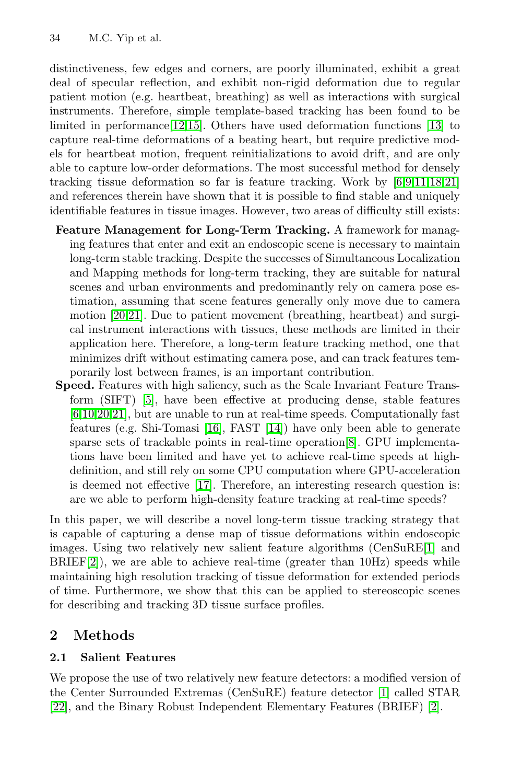distinctiveness, few edges and corners, are poo[rl](#page-9-0)[y](#page-9-1) [illu](#page-9-2)[mi](#page-10-2)[nat](#page-10-3)ed, exhibit a great deal of specular reflection, and exhibit non-rigid deformation due to regular patient motion (e.g. heartbeat, breathing) as well as interactions with surgical instruments. Therefore, simple template-based tracking has been found to be limited in performance[12,15]. Others have used deformation functions [13] to capture real-time deformations of a beating heart, but require predictive models for heartbeat motion, frequent reinitializations to avoid drift, and are only able to capture low-order deformations. The most successful method for densely tracking tissue deformation so far is feature tracking. Work by [6,9,11,18,21] and references therein have shown that it is possible to find stable and uniquely identifiable features in tissue images. However, two areas of difficulty still exists:

- **Feature Management for Long-Term Tracking.** A framework for managing features that enter and exit an endoscopic scene is necessary to maintain long-term stable tracking. Despite the successes of Simultaneous Localization and Mapping methods for long-term tracking, they are suitable for natural scenes and urban environments and predominantly rely on camera pose estimation, assuming that scene features generally only move due to camera motion [\[20](#page-10-4),21]. Du[e to](#page-10-5) patient movement (breathing, heartbeat) and surgical instrument interactions with ti[ss](#page-9-3)ues, these methods are limited in their application here. Therefore, a long-term feature tracking method, one that minimizes drift without estimating camera pose, and can track features temporar[ily](#page-10-6) lost between frames, is an important contribution.
- **Speed.** Features with high saliency, such as the Scale Invariant Feature Transform (SIFT) [5], have been effective at producing dense, stable features [6,10,20,21], but are unable to run at real-time speeds. Computationally fast features (e.g. Shi-Tomasi [16], FAST [14]) have only been able to generate sparse sets of trackable points in real-time opera[tio](#page-9-4)n[8]. GPU implementations have been limited and have yet to achieve real-time speeds at highdefinition, and still rely on some CPU computation where GPU-acceleration is deemed not effective [17]. Therefore, an interesting research question is: are we able to perform high-density feature tracking at real-time speeds?

In this paper, we will describe a novel long-term tissue tracking strategy that is capable of capturing a dense map of tissue deformations within endoscopic images. Using two relatively new salient feature algorithms (CenSuRE[1] and  $BRIEF[2]$ , we are able to achieve real-time (greater than  $10Hz$ ) speeds while maintaining high resolution tracking of tissu[e d](#page-9-4)eformation for extended periods of time. Furthermore, we show that this can be appli[ed](#page-9-5) to stereoscopic scenes for describing and tracking 3D tissue surface profiles.

### **2 Methods**

#### **2.1 Salient Features**

We propose the use of two relatively new feature detectors: a modified version of the Center Surrounded Extremas (CenSuRE) feature detector [1] called STAR [22], and the Binary Robust Independent Elementary Features (BRIEF) [2].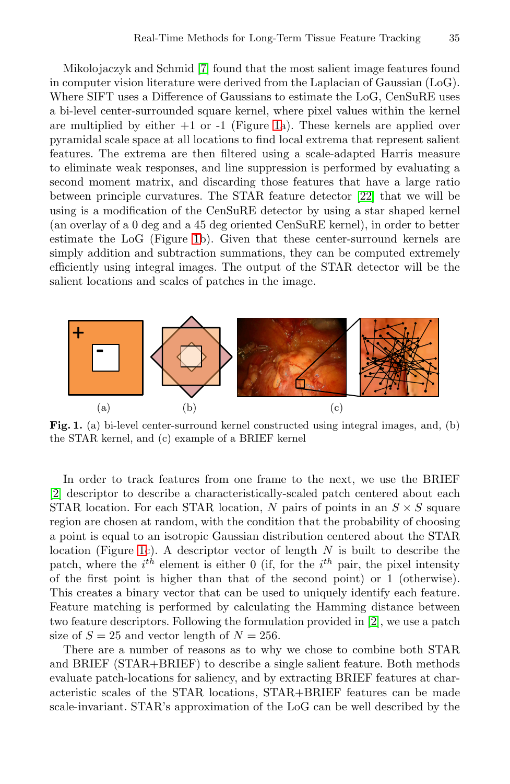Mikolojaczyk and Schmid [7] found that the most salient image features found in computer vision literature were derive[d fro](#page-10-7)m the Laplacian of Gaussian (LoG). Where SIFT uses a Difference of Gaussians to estimate the LoG, CenSuRE uses a bi-level center-surrounded square kernel, where pixel values within the kernel are mul[tip](#page-2-0)lied by either  $+1$  or  $-1$  (Figure 1a). These kernels are applied over pyramidal scale space at all locations to find local extrema that represent salient features. The extrema are then filtered using a scale-adapted Harris measure to eliminate weak responses, and line suppression is performed by evaluating a second moment matrix, and discarding those features that have a large ratio between principle curvatures. The STAR feature detector [22] that we will be using is a modification of the CenSuRE detector by using a star shaped kernel (an overlay of a 0 deg and a 45 deg oriented CenSuRE kernel), in order to better estimate the LoG (Figure 1b). Given that these center-surround kernels are simply addition and subtraction summations, they can be computed extremely efficiently using integral images. The output of the STAR detector will be the salient locations and scales of patches in the image.

<span id="page-2-0"></span>

**Fig. 1.** (a) bi-level center-surround kernel constructed using integral images, and, (b) the STAR kernel, and (c) example of a BRIEF kernel

In order to track features from one frame to the next, we use the BRIEF [2] descriptor to describe a characteristically-scaled patch centered about each STAR location. For each STAR location, [N](#page-9-5) pairs of points in an  $S \times S$  square region are chosen at random, with the condition that the probability of choosing a point is equal to an isotropic Gaussian distribution centered about the STAR location (Figure 1c). A descriptor vector of length  $N$  is built to describe the patch, where the  $i^{th}$  element is either 0 (if, for the  $i^{th}$  pair, the pixel intensity of the first point is higher than that of the second point) or 1 (otherwise). This creates a binary vector that can be used to uniquely identify each feature. Feature matching is performed by calculating the Hamming distance between two feature descriptors. Following the formulation provided in [2], we use a patch size of  $S = 25$  and vector length of  $N = 256$ .

There are a number of reasons as to why we chose to combine both STAR and BRIEF (STAR+BRIEF) to describe a single salient feature. Both methods evaluate patch-locations for saliency, and by extracting BRIEF features at characteristic scales of the STAR locations, STAR+BRIEF features can be made scale-invariant. STAR's approximation of the LoG can be well described by the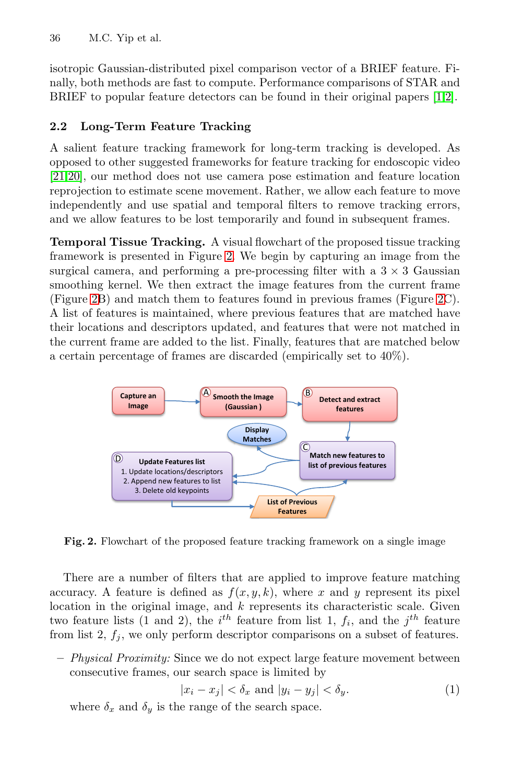isotropic Gaussian-distributed pixel comparison vector of a BRIEF feature. Finally, both methods are fast to compute. Performance comparisons of STAR and BRIEF to popular feature detectors can be found in their original papers [1,2].

#### **2.2 Long-Term Feature Tracking**

A salient feat[ure](#page-3-0) tracking framework for long-term tracking is developed. As opposed to other suggested frameworks for feature tracking for endoscopic video [21,20], our method does not use camera pose estimation and feature location reprojection to estimate scene movement. Rather, we all[ow](#page-3-0) each feature to move independently and use spatial and temporal filters to remove tracking errors, and we allow features to be lost temporarily and found in subsequent frames.

**Temporal Tissue Tracking.** A visual flowchart of the proposed tissue tracking framework is presented in Figure 2. We begin by capturing an image from the surgical camera, and performing a pre-processing filter with a  $3 \times 3$  Gaussian smoothing kernel. We then extract the image features from the current frame (Figure 2B) and match them to features found in previous frames (Figure 2C). A list of features is maintained, where previous features that are matched have their locations and descriptors updated, and features that were not matched in the current frame are added to the list. Finally, features that are matched below a certain percentage of frames are discarded (empirically set to 40%).

<span id="page-3-1"></span><span id="page-3-0"></span>

**Fig. 2.** Flowchart of the proposed feature tracking framework on a single image

There are a number of filters that are applied to improve feature matching accuracy. A feature is defined as  $f(x, y, k)$ , where x and y represent its pixel location in the original image, and  $k$  represents its characteristic scale. Given two feature lists (1 and 2), the  $i^{th}$  feature from list 1,  $f_i$ , and the  $j^{th}$  feature from list 2,  $f_j$ , we only perform descriptor comparisons on a subset of features.

**–** *Physical Proximity:* Since we do not expect large feature movement between consecutive frames, our search space is limited by

$$
|x_i - x_j| < \delta_x \text{ and } |y_i - y_j| < \delta_y. \tag{1}
$$

where  $\delta_x$  and  $\delta_y$  is the range of the search space.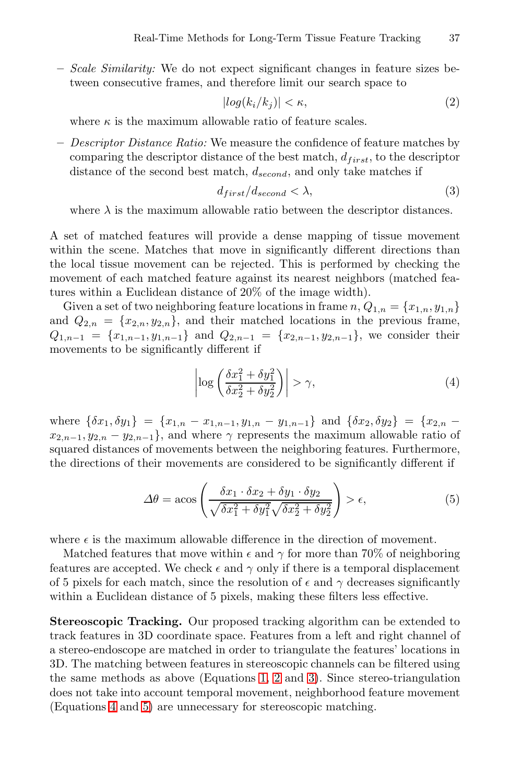**–** *Scale Similarity:* We do not expect significant changes in feature sizes between consecutive frames, and therefore limit our search space to

<span id="page-4-1"></span><span id="page-4-0"></span>
$$
|log(k_i/k_j)| < \kappa,\tag{2}
$$

where  $\kappa$  is the maximum allowable ratio of feature scales.

**–** *Descriptor Distance Ratio:* We measure the confidence of feature matches by comparing the descriptor distance of the best match,  $d_{first}$ , to the descriptor distance of the second best match,  $d_{second}$ , and only take matches if

$$
d_{first}/d_{second} < \lambda,\tag{3}
$$

where  $\lambda$  is the maximum allowable ratio between the descriptor distances.

<span id="page-4-2"></span>A set of matched features will provide a dense mapping of tissue movement within the scene. Matches that move in significantly different directions than the local tissue movement can be rejected. This is performed by checking the movement of each matched feature against its nearest neighbors (matched features within a Euclidean distance of 20% of the image width).

Given a set of two neighboring feature locations in frame  $n, Q_{1,n} = \{x_{1,n}, y_{1,n}\}$ and  $Q_{2,n} = \{x_{2,n}, y_{2,n}\}$ , and their matched locations in the previous frame,  $Q_{1,n-1} = \{x_{1,n-1}, y_{1,n-1}\}\$ and  $Q_{2,n-1} = \{x_{2,n-1}, y_{2,n-1}\}\$ , we consider their movements to be significantly different if

$$
\left| \log \left( \frac{\delta x_1^2 + \delta y_1^2}{\delta x_2^2 + \delta y_2^2} \right) \right| > \gamma,
$$
\n(4)

where  $\{\delta x_1, \delta y_1\} = \{x_{1,n} - x_{1,n-1}, y_{1,n} - y_{1,n-1}\}\$  and  $\{\delta x_2, \delta y_2\} = \{x_{2,n} - x_{1,n-1}, y_{1,n} - y_{1,n-1}\}\$  $x_{2,n-1}, y_{2,n} - y_{2,n-1}$ , and where  $\gamma$  represents the maximum allowable ratio of squared distances of movements between the neighboring features. Furthermore, the directions of their movements are considered to be significantly different if

$$
\Delta\theta = \arccos\left(\frac{\delta x_1 \cdot \delta x_2 + \delta y_1 \cdot \delta y_2}{\sqrt{\delta x_1^2 + \delta y_1^2} \sqrt{\delta x_2^2 + \delta y_2^2}}\right) > \epsilon,\tag{5}
$$

where  $\epsilon$  is the maximum allowable difference in the direction of movement.

Matched features that move within  $\epsilon$  and  $\gamma$  for more than 70% of neighboring features are accepted[. W](#page-3-1)[e](#page-4-0) chec[k](#page-4-1)  $\epsilon$  and  $\gamma$  only if there is a temporal displacement of 5 pixels for each match, since the resolution of  $\epsilon$  and  $\gamma$  decreases significantly [w](#page-4-2)ithin a Euclidean distance of 5 pixels, making these filters less effective.

**Stereoscopic Tracking.** Our proposed tracking algorithm can be extended to track features in 3D coordinate space. Features from a left and right channel of a stereo-endoscope are matched in order to triangulate the features' locations in 3D. The matching between features in stereoscopic channels can be filtered using the same methods as above (Equations 1, 2 and 3). Since stereo-triangulation does not take into account temporal movement, neighborhood feature movement (Equations 4 and 5) are unnecessary for stereoscopic matching.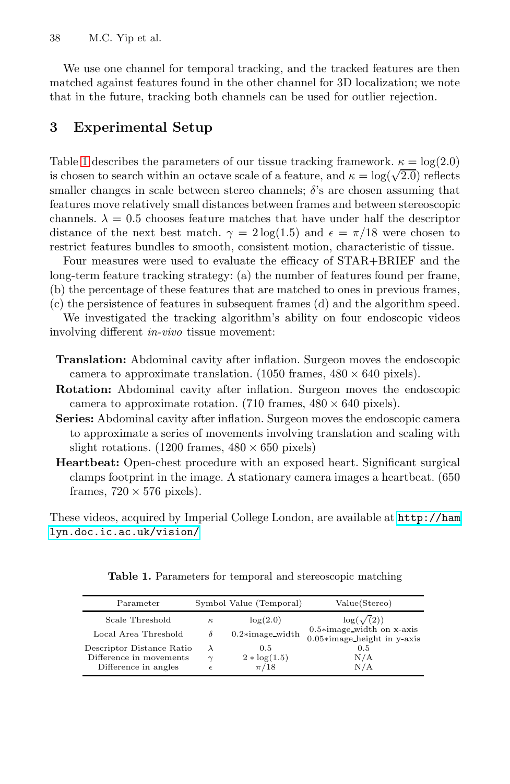We use one channel for temporal tracking, and the tracked features are then matched against features found in the other channel for 3D localization; we note that in the future, tracking both channels can be used for outlier rejection.

# **3 Experimental Setup**

Table 1 describes the parameters of our tissue tracking framework.  $\kappa = \log(2.0)$ is chosen to search within an octave scale of a feature, and  $\kappa = \log(\sqrt{2.0})$  reflects smaller changes in scale between stereo channels;  $\delta$ 's are chosen assuming that features move relatively small distances between frames and between stereoscopic channels.  $\lambda = 0.5$  chooses feature matches that have under half the descriptor distance of the next best match.  $\gamma = 2 \log(1.5)$  and  $\epsilon = \pi/18$  were chosen to restrict features bundles to smooth, consistent motion, characteristic of tissue.

Four measures were used to evaluate the efficacy of STAR+BRIEF and the long-term feature tracking strategy: (a) the number of features found per frame, (b) the percentage of these features that are matched to ones in previous frames, (c) the persistence of features in subsequent frames (d) and the algorithm speed.

We investigated the tracking algorithm's ability on four endoscopic videos involving different *in-vivo* tissue movement:

- **Translation:** Abdominal cavity after inflation. Surgeon moves the endoscopic camera to approximate translation. (1050 frames,  $480 \times 640$  pixels).
- **Rotation:** Abdominal cavity after inflation. Surgeon moves the endoscopic camera to approximate rotation. (710 frames,  $480 \times 640$  pixels).
- **[Series:](http://hamlyn.doc.ic.ac.uk/vision/)** Abdominal cavity after inflation. Surgeon moves the endoscopic camera to approximate a series of movements involving translation and scaling with slight rotations.  $(1200 \text{ frames}, 480 \times 650 \text{ pixels})$
- **Heartbeat:** Open-chest procedure with an exposed heart. Significant surgical clamps footprint in the image. A stationary camera images a heartbeat. (650 frames,  $720 \times 576$  pixels).

These videos, acquired by Imperial College London, are available at http://ham lyn.doc.ic.ac.uk/vision/

| Parameter                 |            | Symbol Value (Temporal) | Value(Stereo)                                                 |
|---------------------------|------------|-------------------------|---------------------------------------------------------------|
| Scale Threshold           | $K_{i}$    | log(2.0)                | $\log(\sqrt{2})$                                              |
| Local Area Threshold      |            | $0.2*image$ width       | $0.5*image$ width on x-axis<br>$0.05*$ image height in y-axis |
| Descriptor Distance Ratio | $\lambda$  | 0.5                     | 0.5                                                           |
| Difference in movements   | $\sim$     | $2 * log(1.5)$          | N/A                                                           |
| Difference in angles      | $\epsilon$ | $\pi/18$                | N/A                                                           |

**Table 1.** Parameters for temporal and stereoscopic matching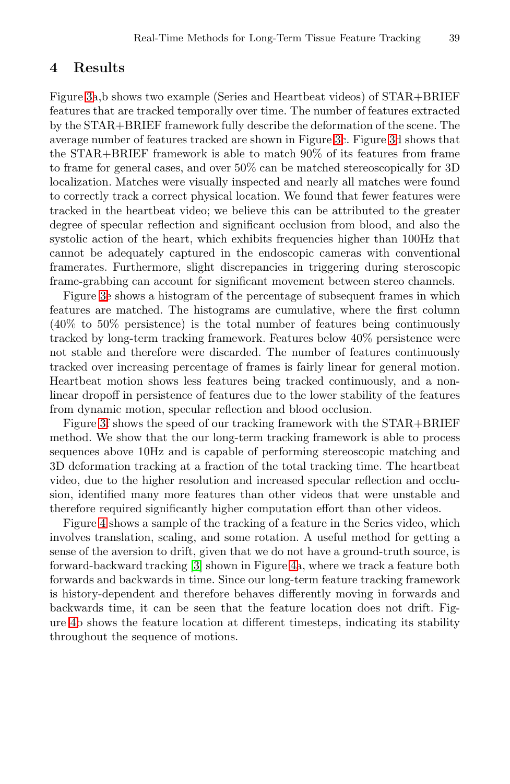## **4 Results**

Figure 3a,b shows two example (Series and Heartbeat videos) of STAR+BRIEF features that are tracked temporally over time. The number of features extracted by the STAR+BRIEF framework fully describe the deformation of the scene. The average number of features tracked are shown in Figure 3c. Figure 3d shows that the STAR+BRIEF framework is able to match 90% of its features from frame to frame for general cases, and over 50% can be matched stereoscopically for 3D localization. Matches were visually inspected and nearly all matches were found to correctly track a correct physical location. We found that fewer features were tracked in the heartbeat video; we believe this can be attributed to the greater degree of specular reflection and significant occlusion from blood, and also the systolic action of the heart, which exhibits frequencies higher than 100Hz that cannot be adequately captured in the endoscopic cameras with conventional framerates. Furthermore, slight discrepancies in triggering during steroscopic frame-grabbing can account for significant movement between stereo channels.

Figure 3e shows a histogram of the percentage of subsequent frames in which features are matched. The histograms are cumulative, where the first column (40% to 50% persistence) is the total number of features being continuously tracked by long-term tracking framework. Features below 40% persistence were not stable and therefore were discarded. The number of features continuously tracked over increasing percentage of frames is fairly linear for general motion. Heartbeat motion shows less features being tracked continuously, and a nonlinear dropoff in persistence of features due to the lower stability of the features from dynamic motion, specular reflection and blood occlusion.

Figure 3f shows the speed of our tracking framework with the STAR+BRIEF method. We show that the our long-term tracking framework is able to process sequenc[es](#page-9-6) above 10Hz and [is](#page-8-0) capable of performing stereoscopic matching and 3D deformation tracking at a fraction of the total tracking time. The heartbeat video, due to the higher resolution and increased specular reflection and occlusion, identified many more features than other videos that were unstable and therefore required significantly higher computation effort than other videos.

Figure 4 shows a sample of the tracking of a feature in the Series video, which involves translation, scaling, and some rotation. A useful method for getting a sense of the aversion to drift, given that we do not have a ground-truth source, is forward-backward tracking [3] shown in Figure 4a, where we track a feature both forwards and backwards in time. Since our long-term feature tracking framework is history-dependent and therefore behaves differently moving in forwards and backwards time, it can be seen that the feature location does not drift. Figure 4b shows the feature location at different timesteps, indicating its stability throughout the sequence of motions.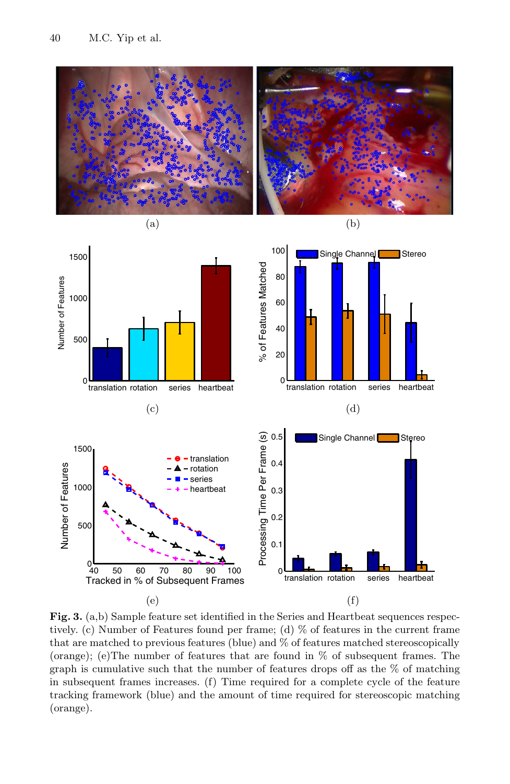

 $(a)$  (b)



<span id="page-7-0"></span>**Fig. 3.** (a,b) Sample feature set identified in the Series and Heartbeat sequences respectively. (c) Number of Features found per frame; (d) % of features in the current frame that are matched to previous features (blue) and % of features matched stereoscopically (orange); (e)The number of features that are found in % of subsequent frames. The graph is cumulative such that the number of features drops off as the % of matching in subsequent frames increases. (f) Time required for a complete cycle of the feature tracking framework (blue) and the amount of time required for stereoscopic matching (orange).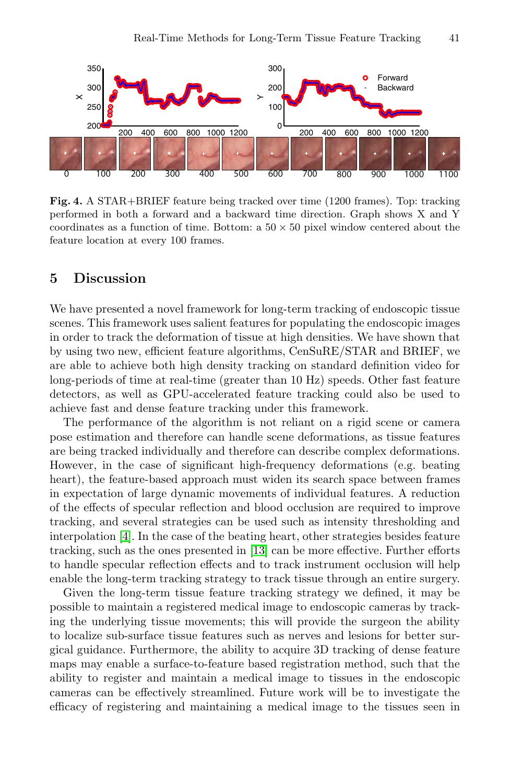<span id="page-8-0"></span>



**Fig. 4.** A STAR+BRIEF feature being tracked over time (1200 frames). Top: tracking performed in both a forward and a backward time direction. Graph shows X and Y coordinates as a function of time. Bottom: a 50 *×* 50 pixel window centered about the feature location at every 100 frames.

 $\overline{0}$  100 200 300 400 500 600 700 800 900 1000 1100

# **5 Discussion**

We have presented a novel framework for long-term tracking of endoscopic tissue scenes. This framework uses salient features for populating the endoscopic images in order to track the deformation of tissue at high densities. We have shown that by using two new, efficient feature algorithms, CenSuRE/STAR and BRIEF, we are able to achieve both high density tracking on standard definition video for long-periods of time at real-time (greater than 10 Hz) speeds. Other fast feature detectors, as well as GPU-accelerated feature tracking could also be used to achieve fast and dense feature tracking under this framework.

The performance of the algorithm is not reliant on a rigid scene or camera pose estimation and [th](#page-10-8)erefore can handle scene deformations, as tissue features are being tracked individually and therefore can describe complex deformations. However, in the case of significant high-frequency deformations (e.g. beating heart), the feature-based approach must widen its search space between frames in expectation of large dynamic movements of individual features. A reduction of the effects of specular reflection and blood occlusion are required to improve tracking, and several strategies can be used such as intensity thresholding and interpolation [4]. In the case of the beating heart, other strategies besides feature tracking, such as the ones presented in [13] can be more effective. Further efforts to handle specular reflection effects and to track instrument occlusion will help enable the long-term tracking strategy to track tissue through an entire surgery.

Given the long-term tissue feature tracking strategy we defined, it may be possible to maintain a registered medical image to endoscopic cameras by tracking the underlying tissue movements; this will provide the surgeon the ability to localize sub-surface tissue features such as nerves and lesions for better surgical guidance. Furthermore, the ability to acquire 3D tracking of dense feature maps may enable a surface-to-feature based registration method, such that the ability to register and maintain a medical image to tissues in the endoscopic cameras can be effectively streamlined. Future work will be to investigate the efficacy of registering and maintaining a medical image to the tissues seen in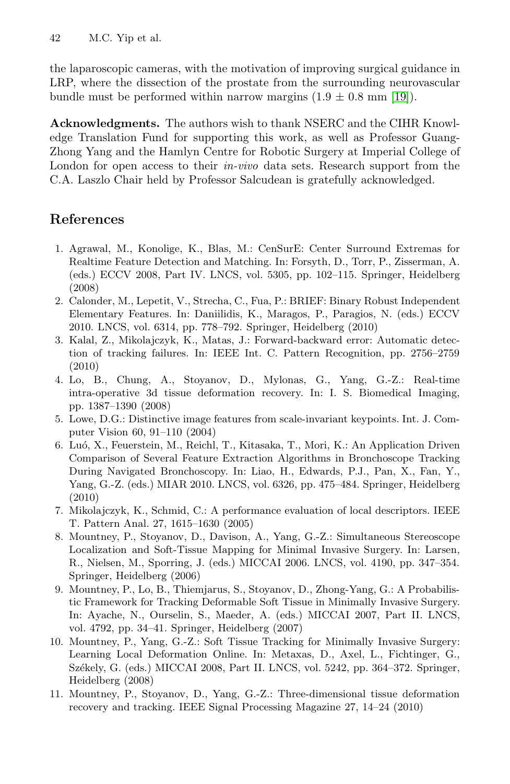<span id="page-9-5"></span><span id="page-9-4"></span>the laparoscopic cameras, with the motivation of improving surgical guidance in LRP, where the dissection of the prostate from the surrounding neurovascular bundle must be performed within narrow margins  $(1.9 \pm 0.8 \text{ mm} \,[19])$ .

<span id="page-9-6"></span>**Acknowledgments.** The authors wish to thank NSERC and the CIHR Knowledge Translation Fund for supporting this work, as well as Professor Guang-Zhong Yang and the Hamlyn Centre for Robotic Surgery at Imperial College of London for open access to their *in-vivo* data sets. Research support from the C.A. Laszlo Chair held by Professor Salcudean is gratefully acknowledged.

# <span id="page-9-0"></span>**References**

- 1. Agrawal, M., Konolige, K., Blas, M.: CenSurE: Center Surround Extremas for Realtime Feature Detection and Matching. In: Forsyth, D., Torr, P., Zisserman, A. (eds.) ECCV 2008, Part IV. LNCS, vol. 5305, pp. 102–115. Springer, Heidelberg (2008)
- <span id="page-9-3"></span>2. Calonder, M., Lepetit, V., Strecha, C., Fua, P.: BRIEF: Binary Robust Independent Elementary Features. In: Daniilidis, K., Maragos, P., Paragios, N. (eds.) ECCV 2010. LNCS, vol. 6314, pp. 778–792. Springer, Heidelberg (2010)
- 3. Kalal, Z., Mikolajczyk, K., Matas, J.: Forward-backward error: Automatic detection of tracking failures. In: IEEE Int. C. Pattern Recognition, pp. 2756–2759 (2010)
- <span id="page-9-1"></span>4. Lo, B., Chung, A., Stoyanov, D., Mylonas, G., Yang, G.-Z.: Real-time intra-operative 3d tissue deformation recovery. In: I. S. Biomedical Imaging, pp. 1387–1390 (2008)
- 5. Lowe, D.G.: Distinctive image features from scale-invariant keypoints. Int. J. Computer Vision 60, 91–110 (2004)
- <span id="page-9-2"></span>6. Luó, X., Feuerstein, M., Reichl, T., Kitasaka, T., Mori, K.; An Application Driven Comparison of Several Feature Extraction Algorithms in Bronchoscope Tracking During Navigated Bronchoscopy. In: Liao, H., Edwards, P.J., Pan, X., Fan, Y., Yang, G.-Z. (eds.) MIAR 2010. LNCS, vol. 6326, pp. 475–484. Springer, Heidelberg (2010)
- 7. Mikolajczyk, K., Schmid, C.: A performance evaluation of local descriptors. IEEE T. Pattern Anal. 27, 1615–1630 (2005)
- 8. Mountney, P., Stoyanov, D., Davison, A., Yang, G.-Z.: Simultaneous Stereoscope Localization and Soft-Tissue Mapping for Minimal Invasive Surgery. In: Larsen, R., Nielsen, M., Sporring, J. (eds.) MICCAI 2006. LNCS, vol. 4190, pp. 347–354. Springer, Heidelberg (2006)
- 9. Mountney, P., Lo, B., Thiemjarus, S., Stoyanov, D., Zhong-Yang, G.: A Probabilistic Framework for Tracking Deformable Soft Tissue in Minimally Invasive Surgery. In: Ayache, N., Ourselin, S., Maeder, A. (eds.) MICCAI 2007, Part II. LNCS, vol. 4792, pp. 34–41. Springer, Heidelberg (2007)
- 10. Mountney, P., Yang, G.-Z.: Soft Tissue Tracking for Minimally Invasive Surgery: Learning Local Deformation Online. In: Metaxas, D., Axel, L., Fichtinger, G., Székely, G. (eds.) MICCAI 2008, Part II. LNCS, vol. 5242, pp. 364–372. Springer, Heidelberg (2008)
- 11. Mountney, P., Stoyanov, D., Yang, G.-Z.: Three-dimensional tissue deformation recovery and tracking. IEEE Signal Processing Magazine 27, 14–24 (2010)